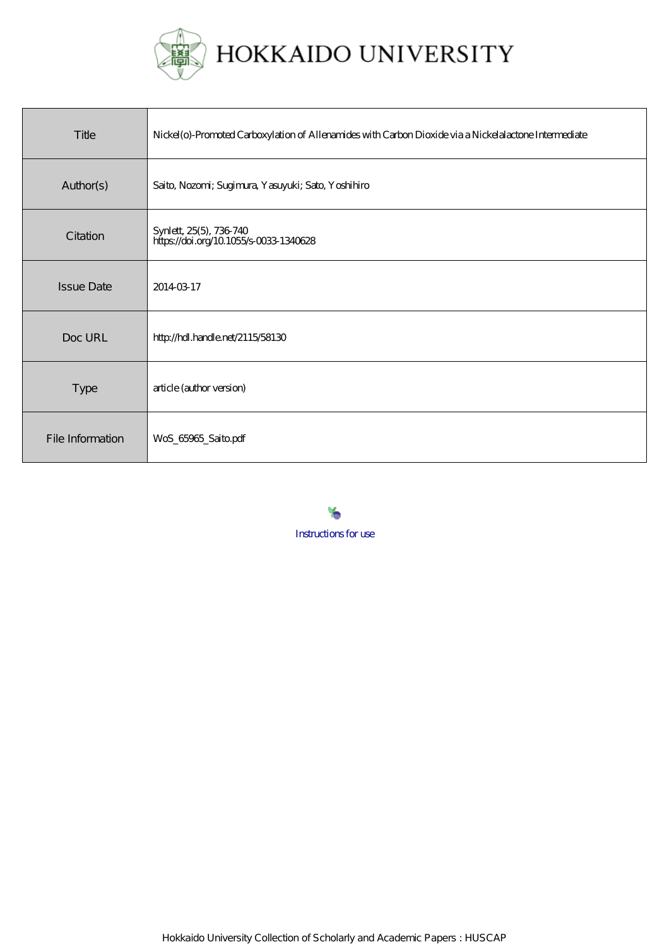

| Title             | Nickel (o)-Promoted Carboxylation of Allenamides with Carbon Dioxide via a Nickelalactone Intermediate |
|-------------------|--------------------------------------------------------------------------------------------------------|
| Author(s)         | Saito, Nozomi; Sugimura, Yasuyuki; Sato, Yoshihiro                                                     |
| Citation          | Synlett, 25(5), 736-740<br>https://doi.org/10.1055/s-0033-1340628                                      |
| <b>Issue Date</b> | 20140317                                                                                               |
| Doc URL           | http://hdl.handle.net/2115/58130                                                                       |
| Type              | article (author version)                                                                               |
| File Information  | WoS_65965_Saito.pdf                                                                                    |

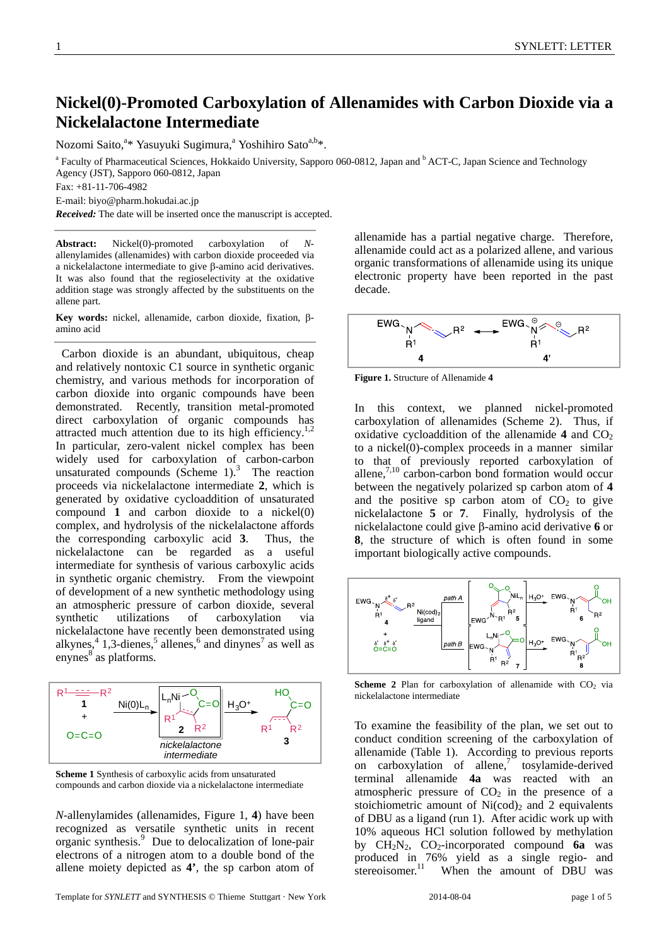# **Nickel(0)-Promoted Carboxylation of Allenamides with Carbon Dioxide via a Nickelalactone Intermediate**

Nozomi Saito,<sup>a</sup>\* Yasuyuki Sugimura,<sup>a</sup> Yoshihiro Sato<sup>a,b</sup>\*.<br><sup>a</sup> Feaulty of Pharmacautical Sciences, Hokkaido University, Sannor

Faculty of Pharmaceutical Sciences, Hokkaido University, Sapporo 060-0812, Japan and <sup>b</sup> ACT-C, Japan Science and Technology Agency (JST), Sapporo 060-0812, Japan

Fax: +81-11-706-4982

E-mail: biyo@pharm.hokudai.ac.jp

*Received:* The date will be inserted once the manuscript is accepted.

**Abstract:** Nickel(0)-promoted carboxylation of *N*allenylamides (allenamides) with carbon dioxide proceeded via a nickelalactone intermediate to give β-amino acid derivatives. It was also found that the regioselectivity at the oxidative addition stage was strongly affected by the substituents on the allene part.

**Key words:** nickel, allenamide, carbon dioxide, fixation, βamino acid

 Carbon dioxide is an abundant, ubiquitous, cheap and relatively nontoxic C1 source in synthetic organic chemistry, and various methods for incorporation of carbon dioxide into organic compounds have been demonstrated. Recently, transition metal-promoted direct carboxylation of organic compounds has attracted much attention due to its high efficiency.<sup>1,2</sup> In particular, zero-valent nickel complex has been widely used for carboxylation of carbon-carbon unsaturated compounds (Scheme  $1$ ).<sup>3</sup> The reaction proceeds via nickelalactone intermediate **2**, which is generated by oxidative cycloaddition of unsaturated compound **1** and carbon dioxide to a nickel(0) complex, and hydrolysis of the nickelalactone affords the corresponding carboxylic acid **3**. Thus, the nickelalactone can be regarded as a useful intermediate for synthesis of various carboxylic acids in synthetic organic chemistry. From the viewpoint of development of a new synthetic methodology using an atmospheric pressure of carbon dioxide, several synthetic utilizations of carboxylation via nickelalactone have recently been demonstrated using alkynes,  $4$  1,3-dienes,  $5$  allenes,  $6$  and dinynes<sup>7</sup> as well as enynes<sup>8</sup> as platforms.



**Scheme 1** Synthesis of carboxylic acids from unsaturated compounds and carbon dioxide via a nickelalactone intermediate

*N*-allenylamides (allenamides, Figure 1, **4**) have been recognized as versatile synthetic units in recent organic synthesis.<sup>9</sup> Due to delocalization of lone-pair electrons of a nitrogen atom to a double bond of the allene moiety depicted as **4'**, the sp carbon atom of

Template for *SYNLETT* and *SYNTHESIS* © Thieme Stuttgart · New York 2014-08-04 page 1 of 5

allenamide has a partial negative charge. Therefore, allenamide could act as a polarized allene, and various organic transformations of allenamide using its unique electronic property have been reported in the past decade.



**Figure 1.** Structure of Allenamide **4**

In this context, we planned nickel-promoted carboxylation of allenamides (Scheme 2). Thus, if oxidative cycloaddition of the allenamide  $4$  and  $CO<sub>2</sub>$ to a nickel(0)-complex proceeds in a manner similar to that of previously reported carboxylation of allene, $\frac{7,10}{10}$  carbon-carbon bond formation would occur between the negatively polarized sp carbon atom of **4** and the positive sp carbon atom of  $CO<sub>2</sub>$  to give nickelalactone **5** or **7**. Finally, hydrolysis of the nickelalactone could give β-amino acid derivative **6** or **8**, the structure of which is often found in some important biologically active compounds.



**Scheme 2** Plan for carboxylation of allenamide with  $CO<sub>2</sub>$  via nickelalactone intermediate

To examine the feasibility of the plan, we set out to conduct condition screening of the carboxylation of allenamide (Table 1). According to previous reports on carboxylation of allene, $\int$  tosylamide-derived terminal allenamide **4a** was reacted with an atmospheric pressure of  $CO<sub>2</sub>$  in the presence of a stoichiometric amount of  $Ni(cod)_2$  and 2 equivalents of DBU as a ligand (run 1). After acidic work up with 10% aqueous HCl solution followed by methylation by  $CH_2N_2$ ,  $CO_2$ -incorporated compound **6a** was produced in 76% yield as a single regio- and stereoisomer. $^{11}$  When the amount of DBU was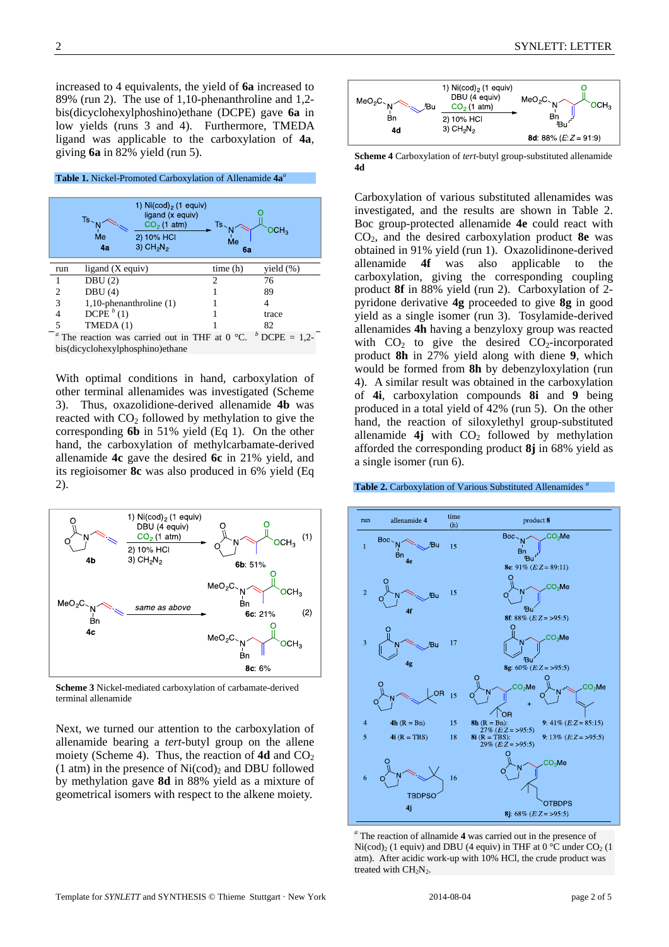increased to 4 equivalents, the yield of **6a** increased to 89% (run 2). The use of 1,10-phenanthroline and 1,2 bis(dicyclohexylphoshino)ethane (DCPE) gave **6a** in low yields (runs 3 and 4). Furthermore, TMEDA ligand was applicable to the carboxylation of **4a**, giving **6a** in 82% yield (run 5).

| <b>Table 1.</b> Nickel-Promoted Carboxylation of Allenamide 4a <sup>a</sup> |                              |                                                                                                                      |                |                 |  |  |
|-----------------------------------------------------------------------------|------------------------------|----------------------------------------------------------------------------------------------------------------------|----------------|-----------------|--|--|
|                                                                             |                              |                                                                                                                      |                |                 |  |  |
|                                                                             | $Ts$ .<br>Me<br>4a           | 1) $Ni(cod)_{2}$ (1 equiv)<br>ligand (x equiv)<br>$CO2$ (1 atm)<br>2) 10% HCI<br>$3)$ CH <sub>2</sub> N <sub>2</sub> | Ts<br>Me<br>6a | CH <sub>3</sub> |  |  |
|                                                                             |                              |                                                                                                                      |                |                 |  |  |
|                                                                             |                              |                                                                                                                      |                |                 |  |  |
| run                                                                         | ligand (X equiv)             |                                                                                                                      | time(h)        | yield (%)       |  |  |
| 1                                                                           | DBU(2)                       |                                                                                                                      | っ              | 76              |  |  |
| 2                                                                           | DBU(4)                       |                                                                                                                      |                | 89              |  |  |
| 3                                                                           | $1,10$ -phenanthroline $(1)$ |                                                                                                                      |                | 4               |  |  |
|                                                                             | DCPE $^b(1)$                 |                                                                                                                      |                | trace           |  |  |
| 5                                                                           | TMEDA(1)                     |                                                                                                                      |                | 82              |  |  |

bis(dicyclohexylphosphino)ethane

With optimal conditions in hand, carboxylation of other terminal allenamides was investigated (Scheme 3). Thus, oxazolidione-derived allenamide **4b** was reacted with  $CO<sub>2</sub>$  followed by methylation to give the corresponding **6b** in 51% yield (Eq 1). On the other hand, the carboxylation of methylcarbamate-derived allenamide **4c** gave the desired **6c** in 21% yield, and its regioisomer **8c** was also produced in 6% yield (Eq 2).



**Scheme 3** Nickel-mediated carboxylation of carbamate-derived terminal allenamide

Next, we turned our attention to the carboxylation of allenamide bearing a *tert*-butyl group on the allene moiety (Scheme 4). Thus, the reaction of  $4d$  and  $CO<sub>2</sub>$ (1 atm) in the presence of  $Ni(cod)_2$  and DBU followed by methylation gave **8d** in 88% yield as a mixture of geometrical isomers with respect to the alkene moiety.



**Scheme 4** Carboxylation of *tert*-butyl group-substituted allenamide **4d**

Carboxylation of various substituted allenamides was investigated, and the results are shown in Table 2. Boc group-protected allenamide **4e** could react with CO2, and the desired carboxylation product **8e** was obtained in 91% yield (run 1). Oxazolidinone-derived allenamide **4f** was also applicable to the carboxylation, giving the corresponding coupling product **8f** in 88% yield (run 2). Carboxylation of 2 pyridone derivative **4g** proceeded to give **8g** in good yield as a single isomer (run 3). Tosylamide-derived allenamides **4h** having a benzyloxy group was reacted with  $CO<sub>2</sub>$  to give the desired  $CO<sub>2</sub>$ -incorporated product **8h** in 27% yield along with diene **9**, which would be formed from **8h** by debenzyloxylation (run 4). A similar result was obtained in the carboxylation of **4i**, carboxylation compounds **8i** and **9** being produced in a total yield of 42% (run 5). On the other hand, the reaction of siloxylethyl group-substituted allenamide  $4j$  with  $CO<sub>2</sub>$  followed by methylation afforded the corresponding product **8j** in 68% yield as a single isomer (run 6).

### **Table 2.** Carboxylation of Various Substituted Allenamides *<sup>a</sup>*



*a* The reaction of allnamide **4** was carried out in the presence of  $Ni(cod)_2$  (1 equiv) and DBU (4 equiv) in THF at 0 °C under CO<sub>2</sub> (1 atm). After acidic work-up with 10% HCl, the crude product was treated with  $CH<sub>2</sub>N<sub>2</sub>$ .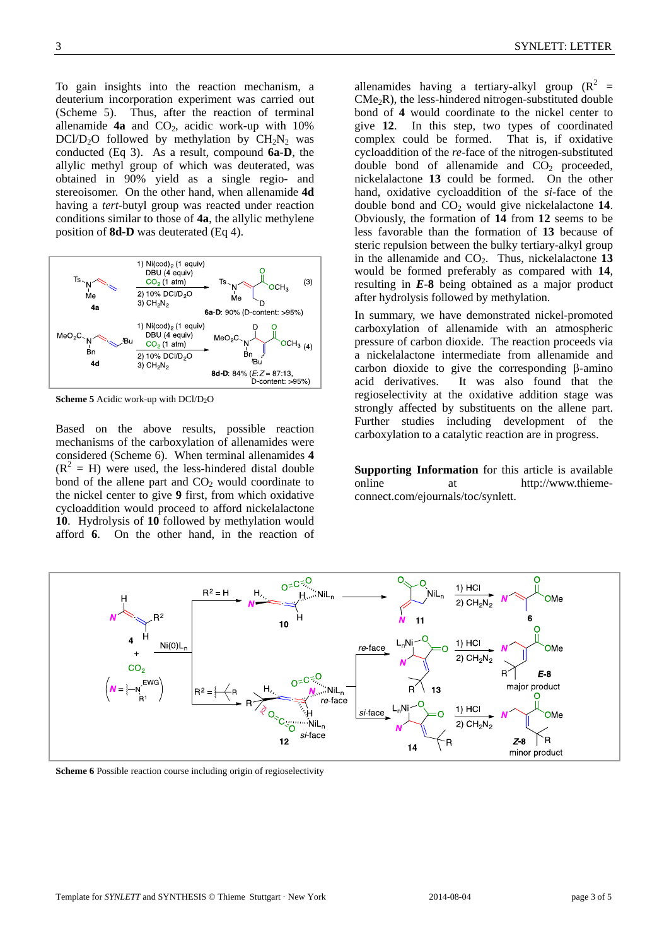To gain insights into the reaction mechanism, a deuterium incorporation experiment was carried out (Scheme 5). Thus, after the reaction of terminal allenamide  $4a$  and  $CO<sub>2</sub>$ , acidic work-up with  $10\%$ DCl/D<sub>2</sub>O followed by methylation by  $CH<sub>2</sub>N<sub>2</sub>$  was conducted (Eq 3). As a result, compound **6a-D**, the allylic methyl group of which was deuterated, was obtained in 90% yield as a single regio- and stereoisomer. On the other hand, when allenamide **4d** having a *tert*-butyl group was reacted under reaction conditions similar to those of **4a**, the allylic methylene position of **8d-D** was deuterated (Eq 4).



**Scheme 5** Acidic work-up with DCl/D<sub>2</sub>O

Based on the above results, possible reaction mechanisms of the carboxylation of allenamides were considered (Scheme 6). When terminal allenamides **4**  $(R<sup>2</sup> = H)$  were used, the less-hindered distal double bond of the allene part and  $CO<sub>2</sub>$  would coordinate to the nickel center to give **9** first, from which oxidative cycloaddition would proceed to afford nickelalactone **10**. Hydrolysis of **10** followed by methylation would afford **6**. On the other hand, in the reaction of

allenamides having a tertiary-alkyl group  $(R^2 =$  $CMe<sub>2</sub>R$ ), the less-hindered nitrogen-substituted double bond of **4** would coordinate to the nickel center to give **12**. In this step, two types of coordinated complex could be formed. That is, if oxidative cycloaddition of the *re*-face of the nitrogen-substituted double bond of allenamide and  $CO<sub>2</sub>$  proceeded, nickelalactone **13** could be formed. On the other hand, oxidative cycloaddition of the *si*-face of the double bond and CO<sub>2</sub> would give nickelalactone 14. Obviously, the formation of **14** from **12** seems to be less favorable than the formation of **13** because of steric repulsion between the bulky tertiary-alkyl group in the allenamide and CO<sub>2</sub>. Thus, nickelalactone 13 would be formed preferably as compared with **14**, resulting in *E***-8** being obtained as a major product after hydrolysis followed by methylation.

In summary, we have demonstrated nickel-promoted carboxylation of allenamide with an atmospheric pressure of carbon dioxide. The reaction proceeds via a nickelalactone intermediate from allenamide and carbon dioxide to give the corresponding β-amino acid derivatives. It was also found that the regioselectivity at the oxidative addition stage was strongly affected by substituents on the allene part. Further studies including development of the carboxylation to a catalytic reaction are in progress.

**Supporting Information** for this article is available online at http://www.thiemeconnect.com/ejournals/toc/synlett.



**Scheme 6** Possible reaction course including origin of regioselectivity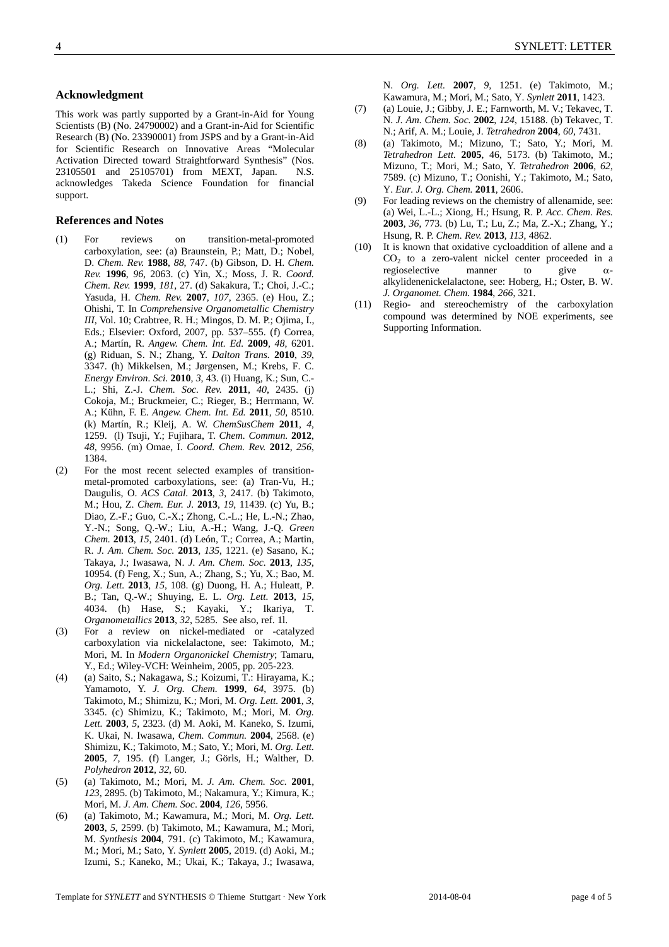#### **Acknowledgment**

This work was partly supported by a Grant-in-Aid for Young Scientists (B) (No. 24790002) and a Grant-in-Aid for Scientific Research (B) (No. 23390001) from JSPS and by a Grant-in-Aid for Scientific Research on Innovative Areas "Molecular Activation Directed toward Straightforward Synthesis" (Nos. 23105501 and 25105701) from MEXT, Japan. N.S. acknowledges Takeda Science Foundation for financial support.

#### **References and Notes**

- (1) For reviews on transition-metal-promoted carboxylation, see: (a) Braunstein, P.; Matt, D.; Nobel, D. *Chem. Rev.* **1988**, *88*, 747. (b) Gibson, D. H. *Chem. Rev.* **1996**, *96*, 2063. (c) Yin, X.; Moss, J. R. *Coord. Chem. Rev.* **1999**, *181*, 27. (d) Sakakura, T.; Choi, J.-C.; Yasuda, H. *Chem. Rev.* **2007**, *107*, 2365. (e) Hou, Z.; Ohishi, T. In *Comprehensive Organometallic Chemistry III*, Vol. 10; Crabtree, R. H.; Mingos, D. M. P.; Ojima, I., Eds.; Elsevier: Oxford, 2007, pp. 537–555. (f) Correa, A.; Martín, R. *Angew. Chem. Int. Ed.* **2009**, *48*, 6201. (g) Riduan, S. N.; Zhang, Y. *Dalton Trans.* **2010**, *39*, 3347. (h) Mikkelsen, M.; Jørgensen, M.; Krebs, F. C. *Energy Environ. Sci.* **2010**, *3*, 43. (i) Huang, K.; Sun, C.- L.; Shi, Z.-J. *Chem. Soc. Rev.* **2011**, *40*, 2435. (j) Cokoja, M.; Bruckmeier, C.; Rieger, B.; Herrmann, W. A.; Kühn, F. E. *Angew. Chem. Int. Ed.* **2011**, *50*, 8510. (k) Martín, R.; Kleij, A. W. *ChemSusChem* **2011**, *4*, 1259. (l) Tsuji, Y.; Fujihara, T. *Chem. Commun.* **2012**, *48*, 9956. (m) Omae, I. *Coord. Chem. Rev.* **2012**, *256*, 1384.
- (2) For the most recent selected examples of transitionmetal-promoted carboxylations, see: (a) Tran-Vu, H.; Daugulis, O. *ACS Catal*. **2013**, *3*, 2417. (b) Takimoto, M.; Hou, Z. *Chem. Eur. J.* **2013**, *19*, 11439. (c) Yu, B.; Diao, Z.-F.; Guo, C.-X.; Zhong, C.-L.; He, L.-N.; Zhao, Y.-N.; Song, Q.-W.; Liu, A.-H.; Wang, J.-Q. *Green Chem.* **2013**, *15*, 2401. (d) León, T.; Correa, A.; Martin, R. *J. Am. Chem. Soc.* **2013**, *135*, 1221. (e) Sasano, K.; Takaya, J.; Iwasawa, N. *J. Am. Chem. Soc.* **2013**, *135*, 10954. (f) Feng, X.; Sun, A.; Zhang, S.; Yu, X.; Bao, M. *Org. Lett.* **2013**, *15*, 108. (g) Duong, H. A.; Huleatt, P. B.; Tan, Q.-W.; Shuying, E. L. *Org. Lett.* **2013**, *15*, 4034. (h) Hase, S.; Kayaki, Y.; Ikariya, T. *Organometallics* **2013**, *32*, 5285. See also, ref. 1l.
- (3) For a review on nickel-mediated or -catalyzed carboxylation via nickelalactone, see: Takimoto, M.; Mori, M. In *Modern Organonickel Chemistry*; Tamaru, Y., Ed.; Wiley-VCH: Weinheim, 2005, pp. 205-223.
- (4) (a) Saito, S.; Nakagawa, S.; Koizumi, T.: Hirayama, K.; Yamamoto, Y. *J. Org. Chem.* **1999**, *64*, 3975. (b) Takimoto, M.; Shimizu, K.; Mori, M. *Org. Lett.* **2001**, *3*, 3345. (c) Shimizu, K.; Takimoto, M.; Mori, M. *Org. Lett.* **2003**, *5*, 2323. (d) M. Aoki, M. Kaneko, S. Izumi, K. Ukai, N. Iwasawa, *Chem. Commun.* **2004**, 2568. (e) Shimizu, K.; Takimoto, M.; Sato, Y.; Mori, M. *Org. Lett.* **2005**, *7*, 195. (f) Langer, J.; Görls, H.; Walther, D. *Polyhedron* **2012**, *32*, 60.
- (5) (a) Takimoto, M.; Mori, M. *J. Am. Chem. Soc.* **2001**, *123*, 2895. (b) Takimoto, M.; Nakamura, Y.; Kimura, K.; Mori, M. *J. Am. Chem. Soc*. **2004**, *126*, 5956.
- (6) (a) Takimoto, M.; Kawamura, M.; Mori, M. *Org. Lett.* **2003**, *5*, 2599. (b) Takimoto, M.; Kawamura, M.; Mori, M. *Synthesis* **2004**, 791. (c) Takimoto, M.; Kawamura, M.; Mori, M.; Sato, Y. *Synlett* **2005**, 2019. (d) Aoki, M.; Izumi, S.; Kaneko, M.; Ukai, K.; Takaya, J.; Iwasawa,

N. *Org. Lett.* **2007**, *9*, 1251. (e) Takimoto, M.; Kawamura, M.; Mori, M.; Sato, Y. *Synlett* **2011**, 1423.

- (7) (a) Louie, J.; Gibby, J. E.; Farnworth, M. V.; Tekavec, T. N. *J. Am. Chem. Soc.* **2002**, *124*, 15188. (b) Tekavec, T. N.; Arif, A. M.; Louie, J. *Tetrahedron* **2004**, *60*, 7431.
- (8) (a) Takimoto, M.; Mizuno, T.; Sato, Y.; Mori, M. *Tetrahedron Lett.* **2005**, 46, 5173. (b) Takimoto, M.; Mizuno, T.; Mori, M.; Sato, Y. *Tetrahedron* **2006**, *62*, 7589. (c) Mizuno, T.; Oonishi, Y.; Takimoto, M.; Sato, Y. *Eur. J. Org. Chem.* **2011**, 2606.
- (9) For leading reviews on the chemistry of allenamide, see: (a) Wei, L.-L.; Xiong, H.; Hsung, R. P. *Acc. Chem. Res.* **2003**, *36*, 773. (b) Lu, T.; Lu, Z.; Ma, Z.-X.; Zhang, Y.; Hsung, R. P. *Chem. Rev.* **2013**, *113*, 4862.
- (10) It is known that oxidative cycloaddition of allene and a  $CO<sub>2</sub>$  to a zero-valent nickel center proceeded in a regioselective manner to give  $\alpha$ alkylidenenickelalactone, see: Hoberg, H.; Oster, B. W. *J. Organomet. Chem.* **1984**, *266*, 321.
- (11) Regio- and stereochemistry of the carboxylation compound was determined by NOE experiments, see Supporting Information.